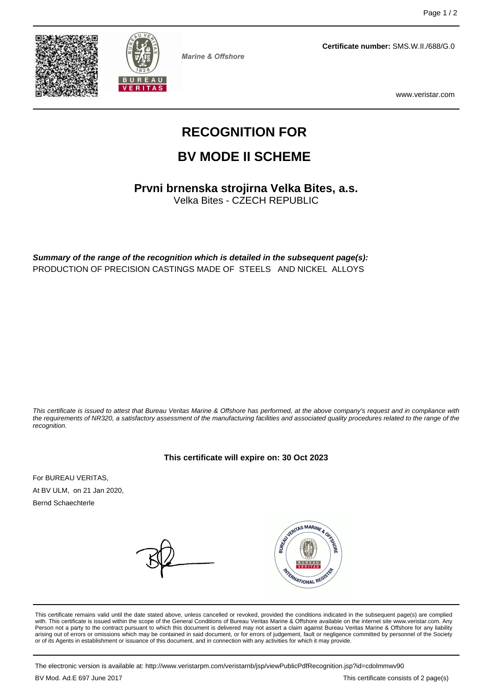



**Marine & Offshore** 

**Certificate number:** SMS.W.II./688/G.0

www.veristar.com

# **RECOGNITION FOR**

## **BV MODE II SCHEME**

**Prvni brnenska strojirna Velka Bites, a.s.**

Velka Bites - CZECH REPUBLIC

**Summary of the range of the recognition which is detailed in the subsequent page(s):** PRODUCTION OF PRECISION CASTINGS MADE OF STEELS AND NICKEL ALLOYS

This certificate is issued to attest that Bureau Veritas Marine & Offshore has performed, at the above company's request and in compliance with the requirements of NR320, a satisfactory assessment of the manufacturing facilities and associated quality procedures related to the range of the recognition.

#### **This certificate will expire on: 30 Oct 2023**

For BUREAU VERITAS, At BV ULM, on 21 Jan 2020,

Bernd Schaechterle



This certificate remains valid until the date stated above, unless cancelled or revoked, provided the conditions indicated in the subsequent page(s) are complied with. This certificate is issued within the scope of the General Conditions of Bureau Veritas Marine & Offshore available on the internet site www.veristar.com. Any Person not a party to the contract pursuant to which this document is delivered may not assert a claim against Bureau Veritas Marine & Offshore for any liability arising out of errors or omissions which may be contained in said document, or for errors of judgement, fault or negligence committed by personnel of the Society<br>or of its Agents in establishment or issuance of this docume

The electronic version is available at: http://www.veristarpm.com/veristarnb/jsp/viewPublicPdfRecognition.jsp?id=cdolmmwv90